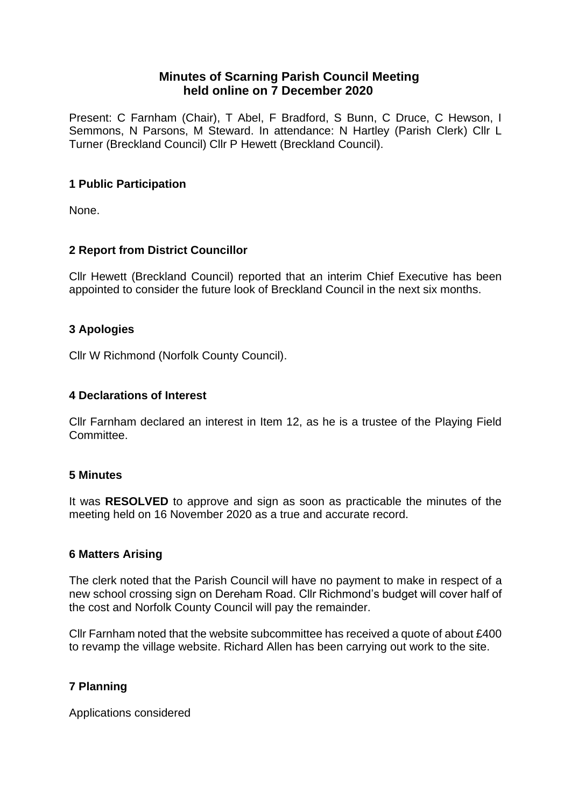# **Minutes of Scarning Parish Council Meeting held online on 7 December 2020**

Present: C Farnham (Chair), T Abel, F Bradford, S Bunn, C Druce, C Hewson, I Semmons, N Parsons, M Steward. In attendance: N Hartley (Parish Clerk) Cllr L Turner (Breckland Council) Cllr P Hewett (Breckland Council).

# **1 Public Participation**

None.

# **2 Report from District Councillor**

Cllr Hewett (Breckland Council) reported that an interim Chief Executive has been appointed to consider the future look of Breckland Council in the next six months.

# **3 Apologies**

Cllr W Richmond (Norfolk County Council).

#### **4 Declarations of Interest**

Cllr Farnham declared an interest in Item 12, as he is a trustee of the Playing Field Committee.

#### **5 Minutes**

It was **RESOLVED** to approve and sign as soon as practicable the minutes of the meeting held on 16 November 2020 as a true and accurate record.

#### **6 Matters Arising**

The clerk noted that the Parish Council will have no payment to make in respect of a new school crossing sign on Dereham Road. Cllr Richmond's budget will cover half of the cost and Norfolk County Council will pay the remainder.

Cllr Farnham noted that the website subcommittee has received a quote of about £400 to revamp the village website. Richard Allen has been carrying out work to the site.

# **7 Planning**

Applications considered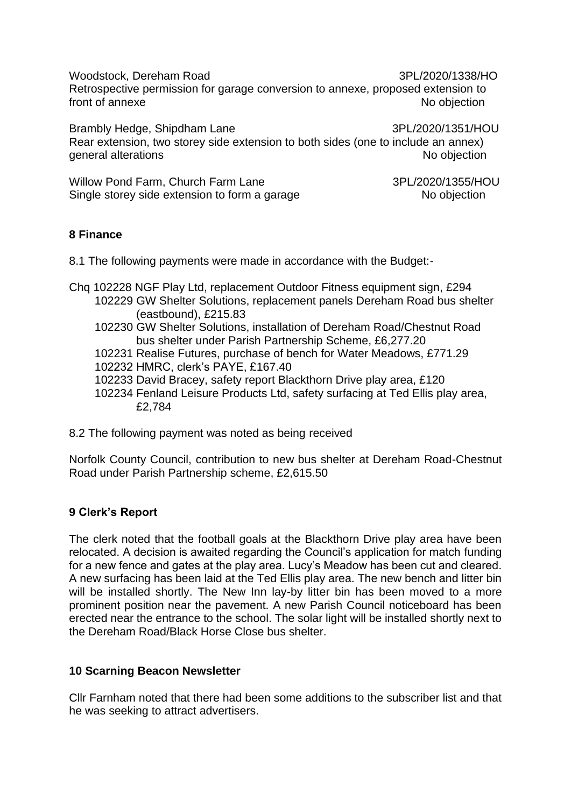Woodstock, Dereham Road 3PL/2020/1338/HO Retrospective permission for garage conversion to annexe, proposed extension to front of annexe No objection

Brambly Hedge, Shipdham Lane 3PL/2020/1351/HOU Rear extension, two storey side extension to both sides (one to include an annex) general alterations and the state of the state of the state of the state of the state of the state of the state of the state of the state of the state of the state of the state of the state of the state of the state of the

Willow Pond Farm, Church Farm Lane 3PL/2020/1355/HOU Single storey side extension to form a garage No objection

### **8 Finance**

8.1 The following payments were made in accordance with the Budget:-

Chq 102228 NGF Play Ltd, replacement Outdoor Fitness equipment sign, £294

- 102229 GW Shelter Solutions, replacement panels Dereham Road bus shelter (eastbound), £215.83
- 102230 GW Shelter Solutions, installation of Dereham Road/Chestnut Road bus shelter under Parish Partnership Scheme, £6,277.20
- 102231 Realise Futures, purchase of bench for Water Meadows, £771.29
- 102232 HMRC, clerk's PAYE, £167.40
- 102233 David Bracey, safety report Blackthorn Drive play area, £120
- 102234 Fenland Leisure Products Ltd, safety surfacing at Ted Ellis play area, £2,784
- 8.2 The following payment was noted as being received

Norfolk County Council, contribution to new bus shelter at Dereham Road-Chestnut Road under Parish Partnership scheme, £2,615.50

#### **9 Clerk's Report**

The clerk noted that the football goals at the Blackthorn Drive play area have been relocated. A decision is awaited regarding the Council's application for match funding for a new fence and gates at the play area. Lucy's Meadow has been cut and cleared. A new surfacing has been laid at the Ted Ellis play area. The new bench and litter bin will be installed shortly. The New Inn lay-by litter bin has been moved to a more prominent position near the pavement. A new Parish Council noticeboard has been erected near the entrance to the school. The solar light will be installed shortly next to the Dereham Road/Black Horse Close bus shelter.

#### **10 Scarning Beacon Newsletter**

Cllr Farnham noted that there had been some additions to the subscriber list and that he was seeking to attract advertisers.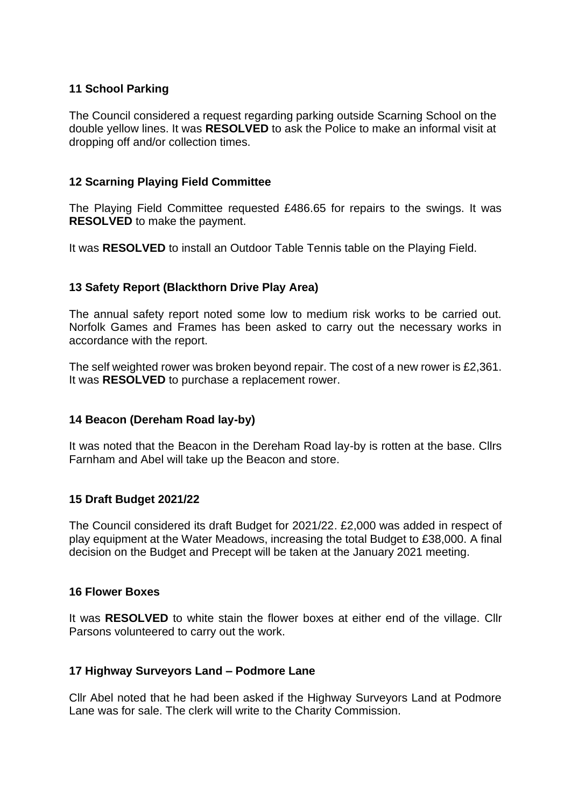### **11 School Parking**

The Council considered a request regarding parking outside Scarning School on the double yellow lines. It was **RESOLVED** to ask the Police to make an informal visit at dropping off and/or collection times.

### **12 Scarning Playing Field Committee**

The Playing Field Committee requested £486.65 for repairs to the swings. It was **RESOLVED** to make the payment.

It was **RESOLVED** to install an Outdoor Table Tennis table on the Playing Field.

### **13 Safety Report (Blackthorn Drive Play Area)**

The annual safety report noted some low to medium risk works to be carried out. Norfolk Games and Frames has been asked to carry out the necessary works in accordance with the report.

The self weighted rower was broken beyond repair. The cost of a new rower is £2,361. It was **RESOLVED** to purchase a replacement rower.

#### **14 Beacon (Dereham Road lay-by)**

It was noted that the Beacon in the Dereham Road lay-by is rotten at the base. Cllrs Farnham and Abel will take up the Beacon and store.

#### **15 Draft Budget 2021/22**

The Council considered its draft Budget for 2021/22. £2,000 was added in respect of play equipment at the Water Meadows, increasing the total Budget to £38,000. A final decision on the Budget and Precept will be taken at the January 2021 meeting.

#### **16 Flower Boxes**

It was **RESOLVED** to white stain the flower boxes at either end of the village. Cllr Parsons volunteered to carry out the work.

#### **17 Highway Surveyors Land – Podmore Lane**

Cllr Abel noted that he had been asked if the Highway Surveyors Land at Podmore Lane was for sale. The clerk will write to the Charity Commission.